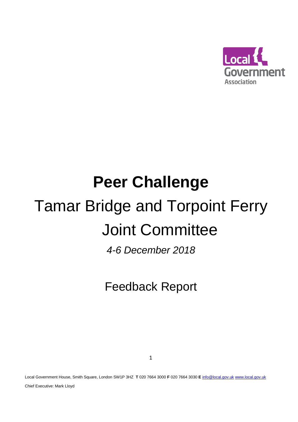

# **Peer Challenge** Tamar Bridge and Torpoint Ferry Joint Committee

*4-6 December 2018*

Feedback Report

Local Government House, Smith Square, London SW1P 3HZ **T** 020 7664 3000 **F** 020 7664 3030 **E** [info@local.gov.uk](mailto:info@local.gov.uk) [www.local.gov.uk](http://www.local.gov.uk/)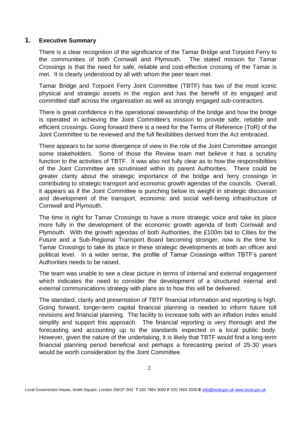# **1. Executive Summary**

There is a clear recognition of the significance of the Tamar Bridge and Torpoint Ferry to the communities of both Cornwall and Plymouth. The stated mission for Tamar Crossings is that the need for safe, reliable and cost-effective crossing of the Tamar is met. It is clearly understood by all with whom the peer team met.

Tamar Bridge and Torpoint Ferry Joint Committee (TBTF) has two of the most iconic physical and strategic assets in the region and has the benefit of its engaged and committed staff across the organisation as well as strongly engaged sub-contractors.

There is great confidence in the operational stewardship of the bridge and how the bridge is operated in achieving the Joint Committee's mission to provide safe, reliable and efficient crossings. Going forward there is a need for the Terms of Reference (ToR) of the Joint Committee to be reviewed and the full flexibilities derived from the Act embraced.

There appears to be some divergence of view in the role of the Joint Committee amongst some stakeholders. Some of those the Review team met believe it has a scrutiny function to the activities of TBTF. It was also not fully clear as to how the responsibilities of the Joint Committee are scrutinised within its parent Authorities. There could be greater clarity about the strategic importance of the bridge and ferry crossings in contributing to strategic transport and economic growth agendas of the councils. Overall, it appears as if the Joint Committee is punching below its weight in strategic discussion and development of the transport, economic and social well-being infrastructure of Cornwall and Plymouth.

The time is right for Tamar Crossings to have a more strategic voice and take its place more fully in the development of the economic growth agenda of both Cornwall and Plymouth. With the growth agendas of both Authorities, the £100m bid to Cities for the Future and a Sub-Regional Transport Board becoming stronger, now is the time for Tamar Crossings to take its place in these strategic developments at both an officer and political level. In a wider sense, the profile of Tamar Crossings within TBTF's parent Authorities needs to be raised.

The team was unable to see a clear picture in terms of internal and external engagement which indicates the need to consider the development of a structured internal and external communications strategy with plans as to how this will be delivered.

The standard, clarity and presentation of TBTF financial information and reporting is high. Going forward, longer-term capital financial planning is needed to inform future toll revisions and financial planning. The facility to increase tolls with an inflation index would simplify and support this approach. The financial reporting is very thorough and the forecasting and accounting up to the standards expected in a local public body. However, given the nature of the undertaking, it is likely that TBTF would find a long-term financial planning period beneficial and perhaps a forecasting period of 25-30 years would be worth consideration by the Joint Committee.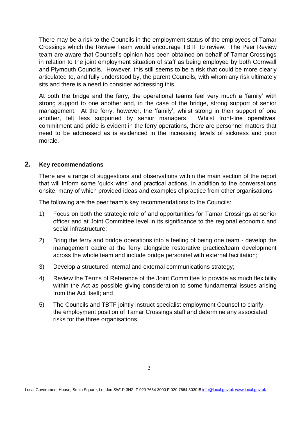There may be a risk to the Councils in the employment status of the employees of Tamar Crossings which the Review Team would encourage TBTF to review. The Peer Review team are aware that Counsel's opinion has been obtained on behalf of Tamar Crossings in relation to the joint employment situation of staff as being employed by both Cornwall and Plymouth Councils. However, this still seems to be a risk that could be more clearly articulated to, and fully understood by, the parent Councils, with whom any risk ultimately sits and there is a need to consider addressing this.

At both the bridge and the ferry, the operational teams feel very much a 'family' with strong support to one another and, in the case of the bridge, strong support of senior management. At the ferry, however, the 'family', whilst strong in their support of one another, felt less supported by senior managers. Whilst front-line operatives' commitment and pride is evident in the ferry operations, there are personnel matters that need to be addressed as is evidenced in the increasing levels of sickness and poor morale.

# **2. Key recommendations**

There are a range of suggestions and observations within the main section of the report that will inform some 'quick wins' and practical actions, in addition to the conversations onsite, many of which provided ideas and examples of practice from other organisations.

The following are the peer team's key recommendations to the Councils:

- 1) Focus on both the strategic role of and opportunities for Tamar Crossings at senior officer and at Joint Committee level in its significance to the regional economic and social infrastructure;
- 2) Bring the ferry and bridge operations into a feeling of being one team develop the management cadre at the ferry alongside restorative practice/team development across the whole team and include bridge personnel with external facilitation;
- 3) Develop a structured internal and external communications strategy;
- 4) Review the Terms of Reference of the Joint Committee to provide as much flexibility within the Act as possible giving consideration to some fundamental issues arising from the Act itself; and
- 5) The Councils and TBTF jointly instruct specialist employment Counsel to clarify the employment position of Tamar Crossings staff and determine any associated risks for the three organisations.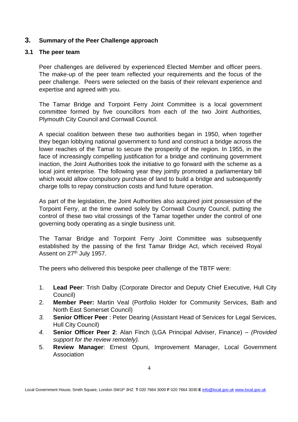# **3. Summary of the Peer Challenge approach**

# **3.1 The peer team**

Peer challenges are delivered by experienced Elected Member and officer peers. The make-up of the peer team reflected your requirements and the focus of the peer challenge. Peers were selected on the basis of their relevant experience and expertise and agreed with you.

The Tamar Bridge and Torpoint Ferry Joint Committee is a local government committee formed by five councillors from each of the two Joint Authorities, Plymouth City Council and Cornwall Council.

A special coalition between these two authorities began in 1950, when together they began lobbying national government to fund and construct a bridge across the lower reaches of the Tamar to secure the prosperity of the region. In 1955, in the face of increasingly compelling justification for a bridge and continuing government inaction, the Joint Authorities took the initiative to go forward with the scheme as a local joint enterprise. The following year they jointly promoted a parliamentary bill which would allow compulsory purchase of land to build a bridge and subsequently charge tolls to repay construction costs and fund future operation.

As part of the legislation, the Joint Authorities also acquired joint possession of the Torpoint Ferry, at the time owned solely by Cornwall County Council, putting the control of these two vital crossings of the Tamar together under the control of one governing body operating as a single business unit.

The Tamar Bridge and Torpoint Ferry Joint Committee was subsequently established by the passing of the first Tamar Bridge Act, which received Royal Assent on 27<sup>th</sup> July 1957.

The peers who delivered this bespoke peer challenge of the TBTF were:

- 1. **Lead Peer**: Trish Dalby (Corporate Director and Deputy Chief Executive, Hull City Council)
- 2. **Member Peer:** Martin Veal (Portfolio Holder for Community Services, Bath and North East Somerset Council)
- *3.* **Senior Officer Peer** : Peter Dearing (Assistant Head of Services for Legal Services, Hull City Council)
- *4.* **Senior Officer Peer 2**: Alan Finch (LGA Principal Adviser, Finance) *– (Provided support for the review remotely).*
- 5. **Review Manager**: Ernest Opuni, Improvement Manager, Local Government Association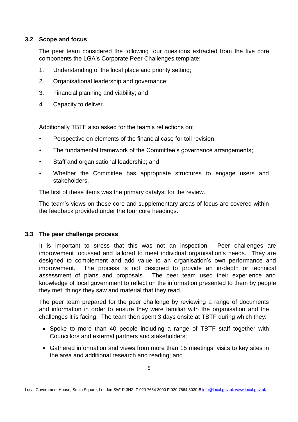# **3.2 Scope and focus**

The peer team considered the following four questions extracted from the five core components the LGA's Corporate Peer Challenges template:

- 1. Understanding of the local place and priority setting;
- 2. Organisational leadership and governance;
- 3. Financial planning and viability; and
- 4. Capacity to deliver.

Additionally TBTF also asked for the team's reflections on:

- Perspective on elements of the financial case for toll revision;
- The fundamental framework of the Committee's governance arrangements;
- Staff and organisational leadership; and
- Whether the Committee has appropriate structures to engage users and stakeholders.

The first of these items was the primary catalyst for the review.

The team's views on these core and supplementary areas of focus are covered within the feedback provided under the four core headings.

# **3.3 The peer challenge process**

It is important to stress that this was not an inspection. Peer challenges are improvement focussed and tailored to meet individual organisation's needs. They are designed to complement and add value to an organisation's own performance and improvement. The process is not designed to provide an in-depth or technical assessment of plans and proposals. The peer team used their experience and knowledge of local government to reflect on the information presented to them by people they met, things they saw and material that they read.

The peer team prepared for the peer challenge by reviewing a range of documents and information in order to ensure they were familiar with the organisation and the challenges it is facing. The team then spent 3 days onsite at TBTF during which they:

- Spoke to more than 40 people including a range of TBTF staff together with Councillors and external partners and stakeholders;
- Gathered information and views from more than 15 meetings, visits to key sites in the area and additional research and reading; and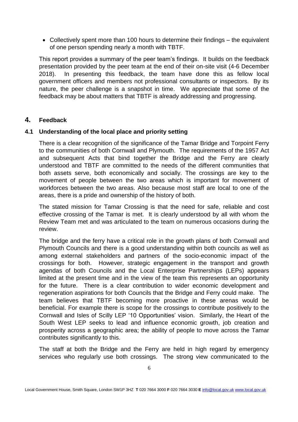Collectively spent more than 100 hours to determine their findings – the equivalent of one person spending nearly a month with TBTF.

This report provides a summary of the peer team's findings. It builds on the feedback presentation provided by the peer team at the end of their on-site visit (4-6 December 2018). In presenting this feedback, the team have done this as fellow local government officers and members not professional consultants or inspectors. By its nature, the peer challenge is a snapshot in time. We appreciate that some of the feedback may be about matters that TBTF is already addressing and progressing.

# **4. Feedback**

# **4.1 Understanding of the local place and priority setting**

There is a clear recognition of the significance of the Tamar Bridge and Torpoint Ferry to the communities of both Cornwall and Plymouth. The requirements of the 1957 Act and subsequent Acts that bind together the Bridge and the Ferry are clearly understood and TBTF are committed to the needs of the different communities that both assets serve, both economically and socially. The crossings are key to the movement of people between the two areas which is important for movement of workforces between the two areas. Also because most staff are local to one of the areas, there is a pride and ownership of the history of both.

The stated mission for Tamar Crossing is that the need for safe, reliable and cost effective crossing of the Tamar is met. It is clearly understood by all with whom the Review Team met and was articulated to the team on numerous occasions during the review.

The bridge and the ferry have a critical role in the growth plans of both Cornwall and Plymouth Councils and there is a good understanding within both councils as well as among external stakeholders and partners of the socio-economic impact of the crossings for both. However, strategic engagement in the transport and growth agendas of both Councils and the Local Enterprise Partnerships (LEPs) appears limited at the present time and in the view of the team this represents an opportunity for the future. There is a clear contribution to wider economic development and regeneration aspirations for both Councils that the Bridge and Ferry could make. The team believes that TBTF becoming more proactive in these arenas would be beneficial. For example there is scope for the crossings to contribute positively to the Cornwall and Isles of Scilly LEP '10 Opportunities' vision. Similarly, the Heart of the South West LEP seeks to lead and influence economic growth, job creation and prosperity across a geographic area; the ability of people to move across the Tamar contributes significantly to this.

The staff at both the Bridge and the Ferry are held in high regard by emergency services who regularly use both crossings. The strong view communicated to the

Local Government House, Smith Square, London SW1P 3HZ **T** 020 7664 3000 **F** 020 7664 3030 **E** [info@local.gov.uk](mailto:info@local.gov.uk) [www.local.gov.uk](http://www.local.gov.uk/)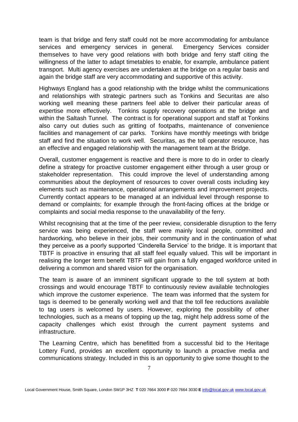team is that bridge and ferry staff could not be more accommodating for ambulance services and emergency services in general. Emergency Services consider themselves to have very good relations with both bridge and ferry staff citing the willingness of the latter to adapt timetables to enable, for example, ambulance patient transport. Multi agency exercises are undertaken at the bridge on a regular basis and again the bridge staff are very accommodating and supportive of this activity.

Highways England has a good relationship with the bridge whilst the communications and relationships with strategic partners such as Tonkins and Securitas are also working well meaning these partners feel able to deliver their particular areas of expertise more effectively. Tonkins supply recovery operations at the bridge and within the Saltash Tunnel. The contract is for operational support and staff at Tonkins also carry out duties such as gritting of footpaths, maintenance of convenience facilities and management of car parks. Tonkins have monthly meetings with bridge staff and find the situation to work well. Securitas, as the toll operator resource, has an effective and engaged relationship with the management team at the Bridge.

Overall, customer engagement is reactive and there is more to do in order to clearly define a strategy for proactive customer engagement either through a user group or stakeholder representation. This could improve the level of understanding among communities about the deployment of resources to cover overall costs including key elements such as maintenance, operational arrangements and improvement projects. Currently contact appears to be managed at an individual level through response to demand or complaints; for example through the front-facing offices at the bridge or complaints and social media response to the unavailability of the ferry.

Whilst recognising that at the time of the peer review, considerable disruption to the ferry service was being experienced, the staff were mainly local people, committed and hardworking, who believe in their jobs, their community and in the continuation of what they perceive as a poorly supported 'Cinderella Service' to the bridge. It is important that TBTF is proactive in ensuring that all staff feel equally valued. This will be important in realising the longer term benefit TBTF will gain from a fully engaged workforce united in delivering a common and shared vision for the organisation.

The team is aware of an imminent significant upgrade to the toll system at both crossings and would encourage TBTF to continuously review available technologies which improve the customer experience. The team was informed that the system for tags is deemed to be generally working well and that the toll fee reductions available to tag users is welcomed by users. However, exploring the possibility of other technologies, such as a means of topping up the tag, might help address some of the capacity challenges which exist through the current payment systems and infrastructure.

The Learning Centre, which has benefitted from a successful bid to the Heritage Lottery Fund, provides an excellent opportunity to launch a proactive media and communications strategy. Included in this is an opportunity to give some thought to the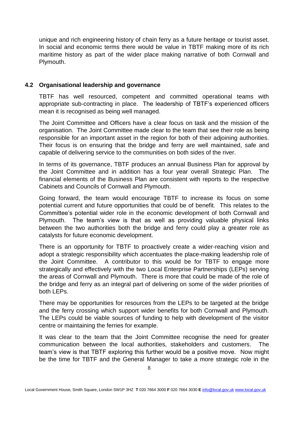unique and rich engineering history of chain ferry as a future heritage or tourist asset. In social and economic terms there would be value in TBTF making more of its rich maritime history as part of the wider place making narrative of both Cornwall and Plymouth.

# **4.2 Organisational leadership and governance**

TBTF has well resourced, competent and committed operational teams with appropriate sub-contracting in place. The leadership of TBTF's experienced officers mean it is recognised as being well managed.

The Joint Committee and Officers have a clear focus on task and the mission of the organisation. The Joint Committee made clear to the team that see their role as being responsible for an important asset in the region for both of their adjoining authorities. Their focus is on ensuring that the bridge and ferry are well maintained, safe and capable of delivering service to the communities on both sides of the river.

In terms of its governance, TBTF produces an annual Business Plan for approval by the Joint Committee and in addition has a four year overall Strategic Plan. The financial elements of the Business Plan are consistent with reports to the respective Cabinets and Councils of Cornwall and Plymouth.

Going forward, the team would encourage TBTF to increase its focus on some potential current and future opportunities that could be of benefit. This relates to the Committee's potential wider role in the economic development of both Cornwall and Plymouth. The team's view is that as well as providing valuable physical links between the two authorities both the bridge and ferry could play a greater role as catalysts for future economic development.

There is an opportunity for TBTF to proactively create a wider-reaching vision and adopt a strategic responsibility which accentuates the place-making leadership role of the Joint Committee. A contributor to this would be for TBTF to engage more strategically and effectively with the two Local Enterprise Partnerships (LEPs) serving the areas of Cornwall and Plymouth. There is more that could be made of the role of the bridge and ferry as an integral part of delivering on some of the wider priorities of both LEPs.

There may be opportunities for resources from the LEPs to be targeted at the bridge and the ferry crossing which support wider benefits for both Cornwall and Plymouth. The LEPs could be viable sources of funding to help with development of the visitor centre or maintaining the ferries for example.

It was clear to the team that the Joint Committee recognise the need for greater communication between the local authorities, stakeholders and customers. The team's view is that TBTF exploring this further would be a positive move. Now might be the time for TBTF and the General Manager to take a more strategic role in the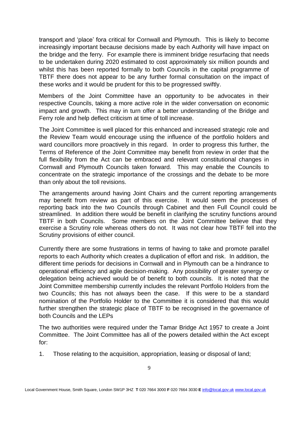transport and 'place' fora critical for Cornwall and Plymouth. This is likely to become increasingly important because decisions made by each Authority will have impact on the bridge and the ferry. For example there is imminent bridge resurfacing that needs to be undertaken during 2020 estimated to cost approximately six million pounds and whilst this has been reported formally to both Councils in the capital programme of TBTF there does not appear to be any further formal consultation on the impact of these works and it would be prudent for this to be progressed swiftly.

Members of the Joint Committee have an opportunity to be advocates in their respective Councils, taking a more active role in the wider conversation on economic impact and growth. This may in turn offer a better understanding of the Bridge and Ferry role and help deflect criticism at time of toll increase.

The Joint Committee is well placed for this enhanced and increased strategic role and the Review Team would encourage using the influence of the portfolio holders and ward councillors more proactively in this regard. In order to progress this further, the Terms of Reference of the Joint Committee may benefit from review in order that the full flexibility from the Act can be embraced and relevant constitutional changes in Cornwall and Plymouth Councils taken forward. This may enable the Councils to concentrate on the strategic importance of the crossings and the debate to be more than only about the toll revisions.

The arrangements around having Joint Chairs and the current reporting arrangements may benefit from review as part of this exercise. It would seem the processes of reporting back into the two Councils through Cabinet and then Full Council could be streamlined. In addition there would be benefit in clarifying the scrutiny functions around TBTF in both Councils. Some members on the Joint Committee believe that they exercise a Scrutiny role whereas others do not. It was not clear how TBTF fell into the Scrutiny provisions of either council.

Currently there are some frustrations in terms of having to take and promote parallel reports to each Authority which creates a duplication of effort and risk. In addition, the different time periods for decisions in Cornwall and in Plymouth can be a hindrance to operational efficiency and agile decision-making. Any possibility of greater synergy or delegation being achieved would be of benefit to both councils. It is noted that the Joint Committee membership currently includes the relevant Portfolio Holders from the two Councils; this has not always been the case. If this were to be a standard nomination of the Portfolio Holder to the Committee it is considered that this would further strengthen the strategic place of TBTF to be recognised in the governance of both Councils and the LEPs

The two authorities were required under the Tamar Bridge Act 1957 to create a Joint Committee. The Joint Committee has all of the powers detailed within the Act except for:

1. Those relating to the acquisition, appropriation, leasing or disposal of land;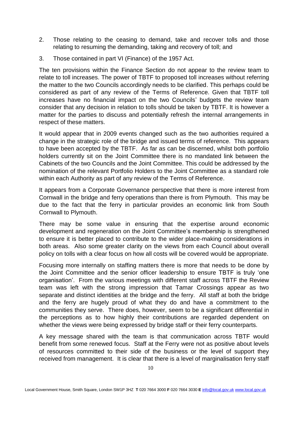- 2. Those relating to the ceasing to demand, take and recover tolls and those relating to resuming the demanding, taking and recovery of toll; and
- 3. Those contained in part VI (Finance) of the 1957 Act.

The ten provisions within the Finance Section do not appear to the review team to relate to toll increases. The power of TBTF to proposed toll increases without referring the matter to the two Councils accordingly needs to be clarified. This perhaps could be considered as part of any review of the Terms of Reference. Given that TBTF toll increases have no financial impact on the two Councils' budgets the review team consider that any decision in relation to tolls should be taken by TBTF. It is however a matter for the parties to discuss and potentially refresh the internal arrangements in respect of these matters.

It would appear that in 2009 events changed such as the two authorities required a change in the strategic role of the bridge and issued terms of reference. This appears to have been accepted by the TBTF. As far as can be discerned, whilst both portfolio holders currently sit on the Joint Committee there is no mandated link between the Cabinets of the two Councils and the Joint Committee. This could be addressed by the nomination of the relevant Portfolio Holders to the Joint Committee as a standard role within each Authority as part of any review of the Terms of Reference.

It appears from a Corporate Governance perspective that there is more interest from Cornwall in the bridge and ferry operations than there is from Plymouth. This may be due to the fact that the ferry in particular provides an economic link from South Cornwall to Plymouth.

There may be some value in ensuring that the expertise around economic development and regeneration on the Joint Committee's membership is strengthened to ensure it is better placed to contribute to the wider place-making considerations in both areas. Also some greater clarity on the views from each Council about overall policy on tolls with a clear focus on how all costs will be covered would be appropriate.

Focusing more internally on staffing matters there is more that needs to be done by the Joint Committee and the senior officer leadership to ensure TBTF is truly 'one organisation'. From the various meetings with different staff across TBTF the Review team was left with the strong impression that Tamar Crossings appear as two separate and distinct identities at the bridge and the ferry. All staff at both the bridge and the ferry are hugely proud of what they do and have a commitment to the communities they serve. There does, however, seem to be a significant differential in the perceptions as to how highly their contributions are regarded dependent on whether the views were being expressed by bridge staff or their ferry counterparts.

A key message shared with the team is that communication across TBTF would benefit from some renewed focus. Staff at the Ferry were not as positive about levels of resources committed to their side of the business or the level of support they received from management. It is clear that there is a level of marginalisation ferry staff

Local Government House, Smith Square, London SW1P 3HZ **T** 020 7664 3000 **F** 020 7664 3030 **E** [info@local.gov.uk](mailto:info@local.gov.uk) [www.local.gov.uk](http://www.local.gov.uk/)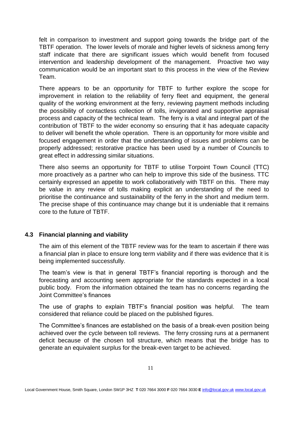felt in comparison to investment and support going towards the bridge part of the TBTF operation. The lower levels of morale and higher levels of sickness among ferry staff indicate that there are significant issues which would benefit from focused intervention and leadership development of the management. Proactive two way communication would be an important start to this process in the view of the Review Team.

There appears to be an opportunity for TBTF to further explore the scope for improvement in relation to the reliability of ferry fleet and equipment, the general quality of the working environment at the ferry, reviewing payment methods including the possibility of contactless collection of tolls, invigorated and supportive appraisal process and capacity of the technical team. The ferry is a vital and integral part of the contribution of TBTF to the wider economy so ensuring that it has adequate capacity to deliver will benefit the whole operation. There is an opportunity for more visible and focused engagement in order that the understanding of issues and problems can be properly addressed; restorative practice has been used by a number of Councils to great effect in addressing similar situations.

There also seems an opportunity for TBTF to utilise Torpoint Town Council (TTC) more proactively as a partner who can help to improve this side of the business. TTC certainly expressed an appetite to work collaboratively with TBTF on this. There may be value in any review of tolls making explicit an understanding of the need to prioritise the continuance and sustainability of the ferry in the short and medium term. The precise shape of this continuance may change but it is undeniable that it remains core to the future of TBTF.

# **4.3 Financial planning and viability**

The aim of this element of the TBTF review was for the team to ascertain if there was a financial plan in place to ensure long term viability and if there was evidence that it is being implemented successfully.

The team's view is that in general TBTF's financial reporting is thorough and the forecasting and accounting seem appropriate for the standards expected in a local public body. From the information obtained the team has no concerns regarding the Joint Committee's finances

The use of graphs to explain TBTF's financial position was helpful. The team considered that reliance could be placed on the published figures.

The Committee's finances are established on the basis of a break-even position being achieved over the cycle between toll reviews. The ferry crossing runs at a permanent deficit because of the chosen toll structure, which means that the bridge has to generate an equivalent surplus for the break-even target to be achieved.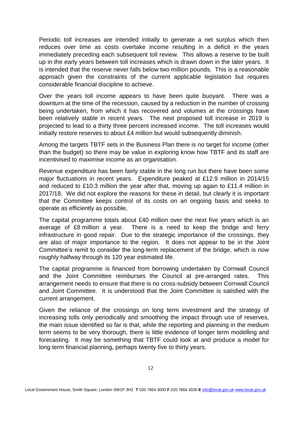Periodic toll increases are intended initially to generate a net surplus which then reduces over time as costs overtake income resulting in a deficit in the years immediately preceding each subsequent toll review. This allows a reserve to be built up in the early years between toll increases which is drawn down in the later years. It is intended that the reserve never falls below two million pounds. This is a reasonable approach given the constraints of the current applicable legislation but requires considerable financial discipline to achieve.

Over the years toll income appears to have been quite buoyant. There was a downturn at the time of the recession, caused by a reduction in the number of crossing being undertaken, from which it has recovered and volumes at the crossings have been relatively stable in recent years. The next proposed toll increase in 2019 is projected to lead to a thirty three percent increased income. The toll increases would initially restore reserves to about £4 million but would subsequently diminish.

Among the targets TBTF sets in the Business Plan there is no target for income (other than the budget) so there may be value in exploring know how TBTF and its staff are incentivised to maximise income as an organisation.

Revenue expenditure has been fairly stable in the long run but there have been some major fluctuations in recent years. Expenditure peaked at £12.9 million in 2014/15 and reduced to £10.3 million the year after that, moving up again to £11.4 million in 2017/18. We did not explore the reasons for these in detail, but clearly it is important that the Committee keeps control of its costs on an ongoing basis and seeks to operate as efficiently as possible,

The capital programme totals about £40 million over the next five years which is an average of £8 million a year. There is a need to keep the bridge and ferry infrastructure in good repair. Due to the strategic importance of the crossings, they are also of major importance to the region. It does not appear to be in the Joint Committee's remit to consider the long-term replacement of the bridge, which is now roughly halfway through its 120 year estimated life.

The capital programme is financed from borrowing undertaken by Cornwall Council and the Joint Committee reimburses the Council at pre-arranged rates. This arrangement needs to ensure that there is no cross-subsidy between Cornwall Council and Joint Committee. It is understood that the Joint Committee is satisfied with the current arrangement.

Given the reliance of the crossings on long term investment and the strategy of increasing tolls only periodically and smoothing the impact through use of reserves, the main issue identified so far is that, while the reporting and planning in the medium term seems to be very thorough, there is little evidence of longer term modelling and forecasting. It may be something that TBTF could look at and produce a model for long term financial planning, perhaps twenty five to thirty years.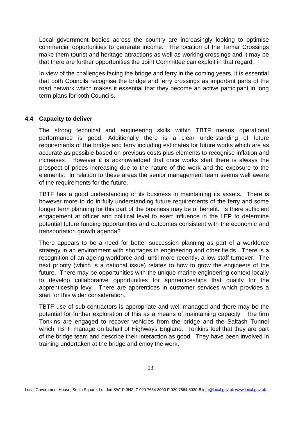Local government bodies across the country are increasingly looking to optimise commercial opportunities to generate income. The location of the Tamar Crossings make them tourist and heritage attractions as well as working crossings and it may be that there are further opportunities the Joint Committee can exploit in that regard.

In view of the challenges facing the bridge and ferry in the coming years, it is essential that both Councils recognise the bridge and ferry crossings as important parts of the road network which makes it essential that they become an active participant in long term plans for both Councils.

#### **4.4 Capacity to deliver**

The strong technical and engineering skills within TBTF means operational performance is good. Additionally there is a clear understanding of future requirements of the bridge and ferry including estimates for future works which are as accurate as possible based on previous costs plus elements to recognise inflation and increases. However it is acknowledged that once works start there is always the prospect of prices increasing due to the nature of the work and the exposure to the elements. In relation to these areas the senior management team seems well aware of the requirements for the future.

TBTF has a good understanding of its business in maintaining its assets. There is however more to do in fully understanding future requirements of the ferry and some longer term planning for this part of the business may be of benefit. Is there sufficient engagement at officer and political level to exert influence in the LEP to determine potential future funding opportunities and outcomes consistent with the economic and transportation growth agenda?

There appears to be a need for better succession planning as part of a workforce strategy in an environment with shortages in engineering and other fields. There is a recognition of an ageing workforce and, until more recently, a low staff turnover. The next priority (which is a national issue) relates to how to grow the engineers of the future. There may be opportunities with the unique marine engineering context locally to develop collaborative opportunities for apprenticeships that qualify for the apprenticeship levy. There are apprentices in customer services which provides a start for this wider consideration.

TBTF use of sub-contractors is appropriate and well-managed and there may be the potential for further exploration of this as a means of maintaining capacity. The firm Tonkins are engaged to recover vehicles from the bridge and the Saltash Tunnel which TBTF manage on behalf of Highways England. Tonkins feel that they are part of the bridge team and describe their interaction as good. They have been involved in training undertaken at the bridge and enjoy the work.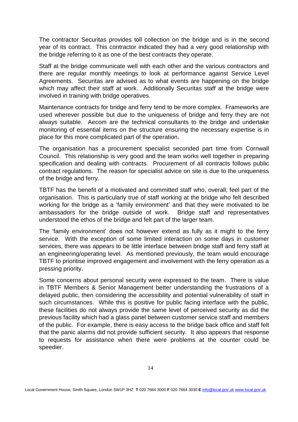The contractor Securitas provides toll collection on the bridge and is in the second year of its contract. This contractor indicated they had a very good relationship with the bridge referring to it as one of the best contracts they operate.

Staff at the bridge communicate well with each other and the various contractors and there are regular monthly meetings to look at performance against Service Level Agreements. Securitas are advised as to what events are happening on the bridge which may affect their staff at work. Additionally Securitas staff at the bridge were involved in training with bridge operatives.

Maintenance contracts for bridge and ferry tend to be more complex. Frameworks are used wherever possible but due to the uniqueness of bridge and ferry they are not always suitable. Aecom are the technical consultants to the bridge and undertake monitoring of essential items on the structure ensuring the necessary expertise is in place for this more complicated part of the operation**.**

The organisation has a procurement specialist seconded part time from Cornwall Council. This relationship is very good and the team works well together in preparing specification and dealing with contracts. Procurement of all contracts follows public contract regulations. The reason for specialist advice on site is due to the uniqueness of the bridge and ferry.

TBTF has the benefit of a motivated and committed staff who, overall, feel part of the organisation. This is particularly true of staff working at the bridge who felt described working for the bridge as a 'family environment' and that they were motivated to be ambassadors for the bridge outside of work. Bridge staff and representatives understood the ethos of the bridge and felt part of the larger team.

The 'family environment' does not however extend as fully as it might to the ferry service. With the exception of some limited interaction on some days in customer services, there was appears to be little interface between bridge staff and ferry staff at an engineering/operating level. As mentioned previously, the team would encourage TBTF to prioritise improved engagement and involvement with the ferry operation as a pressing priority.

Some concerns about personal security were expressed to the team. There is value in TBTF Members & Senior Management better understanding the frustrations of a delayed public, then considering the accessibility and potential vulnerability of staff in such circumstances. While this is positive for public facing interface with the public, these facilities do not always provide the same level of perceived security as did the previous facility which had a glass panel between customer service staff and members of the public. For example, there is easy access to the bridge back office and staff felt that the panic alarms did not provide sufficient security. It also appears that response to requests for assistance when there were problems at the counter could be speedier.